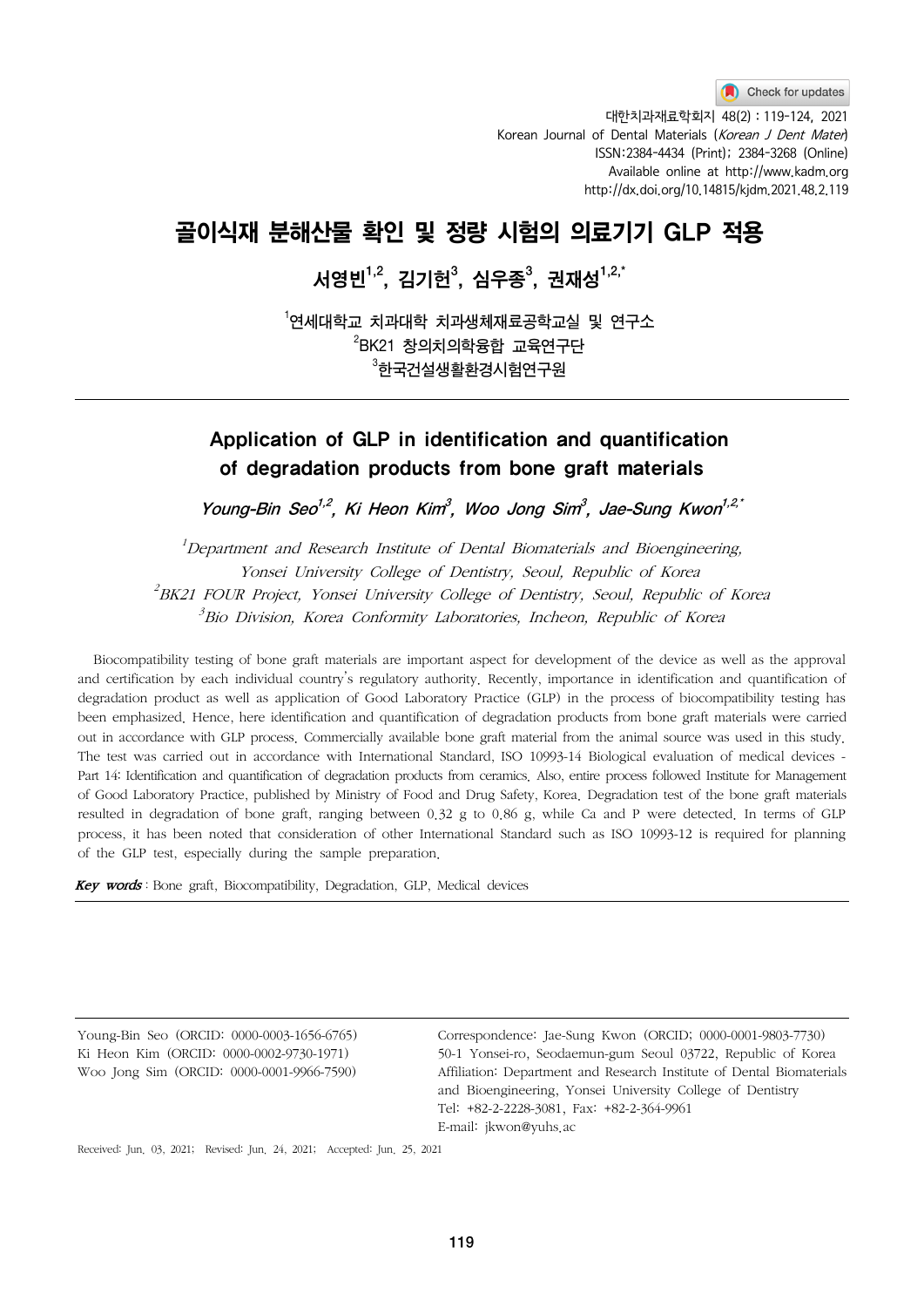대한치과재료학회지 48(2) : 119-124, 2021 Korean Journal of Dental Materials (Korean J Dent Mater) ISSN:2384-4434 (Print); 2384-3268 (Online) Available online at http://www.kadm.org http://dx.doi.org/10.14815/kjdm.2021.48.2.119

# 골이식재 분해산물 확인 및 정량 시험의 의료기기 GLP 적용

# 서영빈 $^{1,2}$ , 김기헌 $^{3},\,$ 심우종 $^{3},\,$ 권재성 $^{1,2,\tilde{}}$

 $^{\rm 1}$ 연세대학 $\rm \,$  치과내학 치과생체재료공학교실 및 연구소  $^{2}$ BK21 창의치의학융합 교육연구단  $^{\rm 3}$ 한국건설생활환경시험연구원

# Application of GLP in identification and quantification of degradation products from bone graft materials

Young-Bin Seo<sup>1,2</sup>, Ki Heon Kim<sup>3</sup>, Woo Jong Sim<sup>3</sup>, Jae-Sung Kwon<sup>1,2,\*</sup>

<sup>1</sup>Department and Research Institute of Dental Biomaterials and Bioengineering, Yonsei University College of Dentistry, Seoul, Republic of Korea  $^{2}$ BK21 FOUR Project, Yonsei University College of Dentistry, Seoul, Republic of Korea  $^3$ Bio Division, Korea Conformity Laboratories, Incheon, Republic of Korea

Biocompatibility testing of bone graft materials are important aspect for development of the device as well as the approval and certification by each individual country's regulatory authority. Recently, importance in identification and quantification of degradation product as well as application of Good Laboratory Practice (GLP) in the process of biocompatibility testing has been emphasized. Hence, here identification and quantification of degradation products from bone graft materials were carried out in accordance with GLP process. Commercially available bone graft material from the animal source was used in this study. The test was carried out in accordance with International Standard, ISO 10993-14 Biological evaluation of medical devices - Part 14: Identification and quantification of degradation products from ceramics. Also, entire process followed Institute for Management of Good Laboratory Practice, published by Ministry of Food and Drug Safety, Korea. Degradation test of the bone graft materials resulted in degradation of bone graft, ranging between 0.32 g to 0.86 g, while Ca and P were detected. In terms of GLP process, it has been noted that consideration of other International Standard such as ISO 10993-12 is required for planning of the GLP test, especially during the sample preparation.

Key words: Bone graft, Biocompatibility, Degradation, GLP, Medical devices

Young-Bin Seo (ORCID: 0000-0003-1656-6765) Ki Heon Kim (ORCID: 0000-0002-9730-1971) Woo Jong Sim (ORCID: 0000-0001-9966-7590)

Correspondence: Jae-Sung Kwon (ORCID; 0000-0001-9803-7730) 50-1 Yonsei-ro, Seodaemun-gum Seoul 03722, Republic of Korea Affiliation: Department and Research Institute of Dental Biomaterials and Bioengineering, Yonsei University College of Dentistry Tel: +82-2-2228-3081, Fax: +82-2-364-9961 E-mail: jkwon@yuhs.ac

Received: Jun. 03, 2021; Revised: Jun. 24, 2021; Accepted: Jun. 25, 2021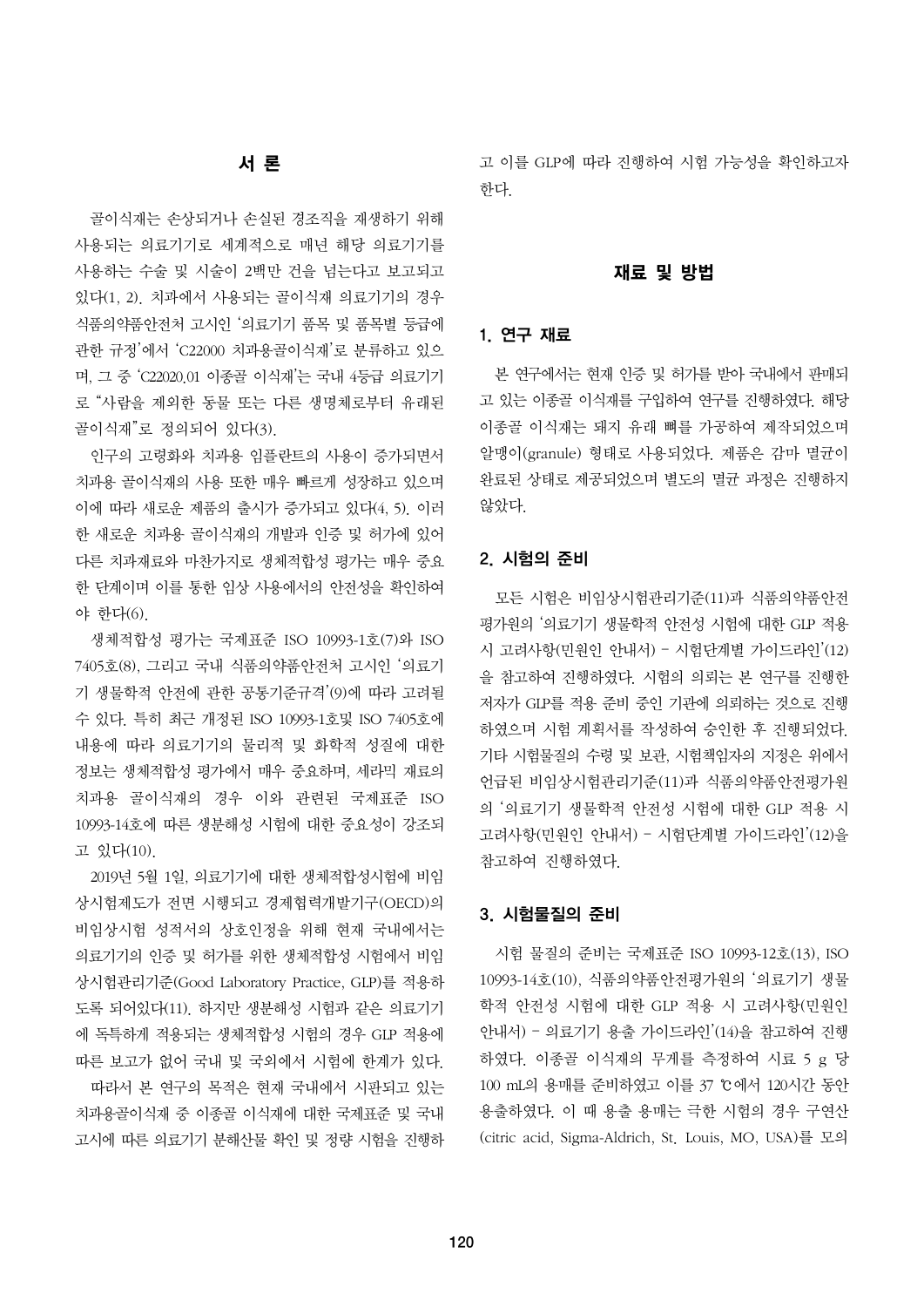## 서 론

골이식재는 손상되거나 손실된 경조직을 재생하기 위해 사용되는 의료기기로 세계적으로 매년 해당 의료기기를 사용하는 수술 및 시술이 2백만 건을 넘는다고 보고되고 있다(1, 2). 치과에서 사용되는 골이식재 의료기기의 경우 식품의약품안전처 고시인 '의료기기 품목 및 품목별 등급에 관한 규정'에서 'C22000 치과용골이식재'로 분류하고 있으 며, 그 중 'C22020.01 이종골 이식재'는 국내 4등급 의료기기 로 "사람을 제외한 동물 또는 다른 생명체로부터 유래된 골이식재"로 정의되어 있다(3).

인구의 고령화와 치과용 임플란트의 사용이 증가되면서 치과용 골이식재의 사용 또한 매우 빠르게 성장하고 있으며 이에 따라 새로운 제품의 출시가 증가되고 있다(4, 5). 이러 한 새로운 치과용 골이식재의 개발과 인증 및 허가에 있어 다른 치과재료와 마찬가지로 생체적합성 평가는 매우 중요 한 단계이며 이를 통한 임상 사용에서의 안전성을 확인하여 야 한다(6).

생체적합성 평가는 국제표준 ISO 10993-1호(7)와 ISO 7405호(8), 그리고 국내 식품의약품안전처 고시인 '의료기 기 생물학적 안전에 관한 공통기준규격'(9)에 따라 고려될 수 있다. 특히 최근 개정된 ISO 10993-1호및 ISO 7405호에 내용에 따라 의료기기의 물리적 및 화학적 성질에 대한 정보는 생체적합성 평가에서 매우 중요하며, 세라믹 재료의 치과용 골이식재의 경우 이와 관련된 국제표준 ISO 10993-14호에 따른 생분해성 시험에 대한 중요성이 강조되 고 있다(10).

2019년 5월 1일, 의료기기에 대한 생체적합성시험에 비임 상시험제도가 전면 시행되고 경제협력개발기구(OECD)의 비임상시험 성적서의 상호인정을 위해 현재 국내에서는 의료기기의 인증 및 허가를 위한 생체적합성 시험에서 비임 상시험관리기준(Good Laboratory Practice, GLP)를 적용하 도록 되어있다(11). 하지만 생분해성 시험과 같은 의료기기 에 독특하게 적용되는 생체적합성 시험의 경우 GLP 적용에 따른 보고가 없어 국내 및 국외에서 시험에 한계가 있다.

따라서 본 연구의 목적은 현재 국내에서 시판되고 있는 치과용골이식재 중 이종골 이식재에 대한 국제표준 및 국내 고시에 따른 의료기기 분해산물 확인 및 정량 시험을 진행하 고 이를 GLP에 따라 진행하여 시험 가능성을 확인하고자 한다.

#### 재료 및 방법

#### 1. 연구 재료

본 연구에서는 현재 인증 및 허가를 받아 국내에서 판매되 고 있는 이종골 이식재를 구입하여 연구를 진행하였다. 해당 이종골 이식재는 돼지 유래 뼈를 가공하여 제작되었으며 알맹이(granule) 형태로 사용되었다. 제품은 감마 멸균이 완료된 상태로 제공되었으며 별도의 멸균 과정은 진행하지 않았다.

#### 2. 시험의 준비

모든 시험은 비임상시험관리기준(11)과 식품의약품안전 평가원의 '의료기기 생물학적 안전성 시험에 대한 GLP 적용 시 고려사항(민원인 안내서) – 시험단계별 가이드라인'(12) 을 참고하여 진행하였다. 시험의 의뢰는 본 연구를 진행한 저자가 GLP를 적용 준비 중인 기관에 의뢰하는 것으로 진행 하였으며 시험 계획서를 작성하여 승인한 후 진행되었다. 기타 시험물질의 수령 및 보관, 시험책임자의 지정은 위에서 언급된 비임상시험관리기준(11)과 식품의약품안전평가원 의 '의료기기 생물학적 안전성 시험에 대한 GLP 적용 시 고려사항(민원인 안내서) – 시험단계별 가이드라인'(12)을 참고하여 진행하였다.

#### 3. 시험물질의 준비

시험 물질의 준비는 국제표준 ISO 10993-12호(13), ISO 10993-14호(10), 식품의약품안전평가원의 '의료기기 생물 학적 안전성 시험에 대한 GLP 적용 시 고려사항(민원인 안내서) – 의료기기 용출 가이드라인'(14)을 참고하여 진행 하였다. 이종골 이식재의 무게를 측정하여 시료 5 g 당 100 mL의 용매를 준비하였고 이를 37 ℃에서 120시간 동안 용출하였다. 이 때 용출 용매는 극한 시험의 경우 구연산 (citric acid, Sigma-Aldrich, St. Louis, MO, USA)를 모의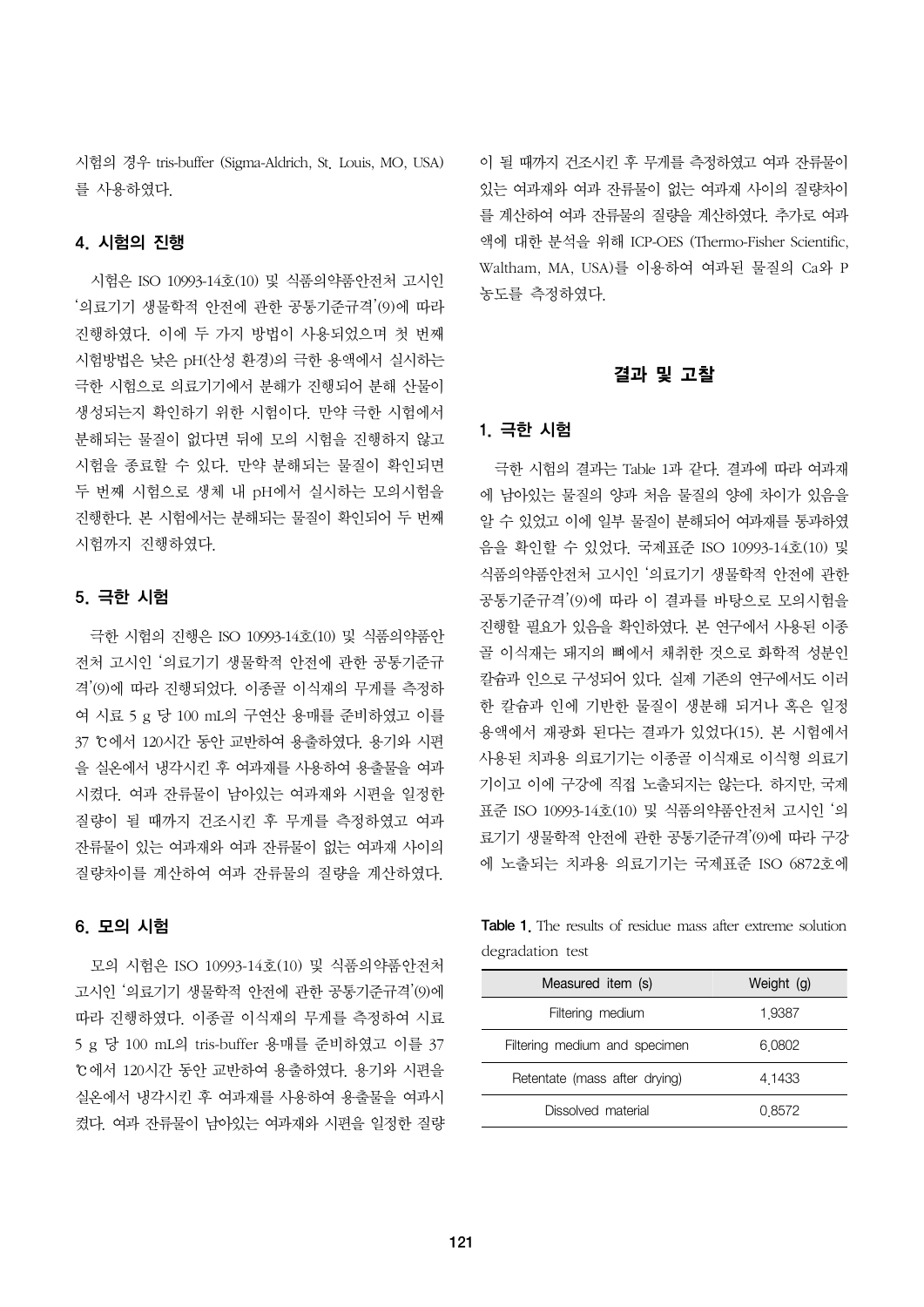시험의 경우 tris-buffer (Sigma-Aldrich, St. Louis, MO, USA) 를 사용하였다.

#### 4. 시험의 진행

시험은 ISO 10993-14호(10) 및 식품의약품안전처 고시인 '의료기기 생물학적 안전에 관한 공통기준규격'(9)에 따라 진행하였다. 이에 두 가지 방법이 사용되었으며 첫 번째 시험방법은 낮은 pH(산성 환경)의 극한 용액에서 실시하는 극한 시험으로 의료기기에서 분해가 진행되어 분해 산물이 생성되는지 확인하기 위한 시험이다. 만약 극한 시험에서 분해되는 물질이 없다면 뒤에 모의 시험을 진행하지 않고 시험을 종료할 수 있다. 만약 분해되는 물질이 확인되면 두 번째 시험으로 생체 내 pH에서 실시하는 모의시험을 진행한다. 본 시험에서는 분해되는 물질이 확인되어 두 번째 시험까지 진행하였다.

#### 5. 극한 시험

극한 시험의 진행은 ISO 10993-14호(10) 및 식품의약품안 전처 고시인 '의료기기 생물학적 안전에 관한 공통기준규 격'(9)에 따라 진행되었다. 이종골 이식재의 무게를 측정하 여 시료 5 g 당 100 mL의 구연산 용매를 준비하였고 이를 37 ℃에서 120시간 동안 교반하여 용출하였다. 용기와 시편 을 실온에서 냉각시킨 후 여과재를 사용하여 용출물을 여과 시켰다. 여과 잔류물이 남아있는 여과재와 시편을 일정한 질량이 될 때까지 건조시킨 후 무게를 측정하였고 여과 잔류물이 있는 여과재와 여과 잔류물이 없는 여과재 사이의 질량차이를 계산하여 여과 잔류물의 질량을 계산하였다.

#### 6. 모의 시험

모의 시험은 ISO 10993-14호(10) 및 식품의약품안전처 고시인 '의료기기 생물학적 안전에 관한 공통기준규격'(9)에 따라 진행하였다. 이종골 이식재의 무게를 측정하여 시료 5 g 당 100 mL의 tris-buffer 용매를 준비하였고 이를 37 ℃에서 120시간 동안 교반하여 용출하였다. 용기와 시편을 실온에서 냉각시킨 후 여과재를 사용하여 용출물을 여과시 켰다. 여과 잔류물이 남아있는 여과재와 시편을 일정한 질량 이 될 때까지 건조시킨 후 무게를 측정하였고 여과 잔류물이 있는 여과재와 여과 잔류물이 없는 여과재 사이의 질량차이 를 계산하여 여과 잔류물의 질량을 계산하였다. 추가로 여과 액에 대한 분석을 위해 ICP-OES (Thermo-Fisher Scientific, Waltham, MA, USA)를 이용하여 여과된 물질의 Ca와 P 농도를 측정하였다.

#### 결과 및 고찰

#### 1. 극한 시험

극한 시험의 결과는 Table 1과 같다. 결과에 따라 여과재 에 남아있는 물질의 양과 처음 물질의 양에 차이가 있음을 알 수 있었고 이에 일부 물질이 분해되어 여과재를 통과하였 음을 확인할 수 있었다. 국제표준 ISO 10993-14호(10) 및 식품의약품안전처 고시인 '의료기기 생물학적 안전에 관한 공통기준규격'(9)에 따라 이 결과를 바탕으로 모의시험을 진행할 필요가 있음을 확인하였다. 본 연구에서 사용된 이종 골 이식재는 돼지의 뼈에서 채취한 것으로 화학적 성분인 칼슘과 인으로 구성되어 있다. 실제 기존의 연구에서도 이러 한 칼슘과 인에 기반한 물질이 생분해 되거나 혹은 일정 용액에서 재광화 된다는 결과가 있었다(15). 본 시험에서 사용된 치과용 의료기기는 이종골 이식재로 이식형 의료기 기이고 이에 구강에 직접 노출되지는 않는다. 하지만, 국제 표준 ISO 10993-14호(10) 및 식품의약품안전처 고시인 '의 료기기 생물학적 안전에 관한 공통기준규격'(9)에 따라 구강 에 노출되는 치과용 의료기기는 국제표준 ISO 6872호에

Table 1. The results of residue mass after extreme solution degradation test

| Measured item (s)             | Weight (g) |
|-------------------------------|------------|
| Filtering medium              | 1.9387     |
| Filtering medium and specimen | 6,0802     |
| Retentate (mass after drying) | 4 1433     |
| Dissolved material            | 0.8572     |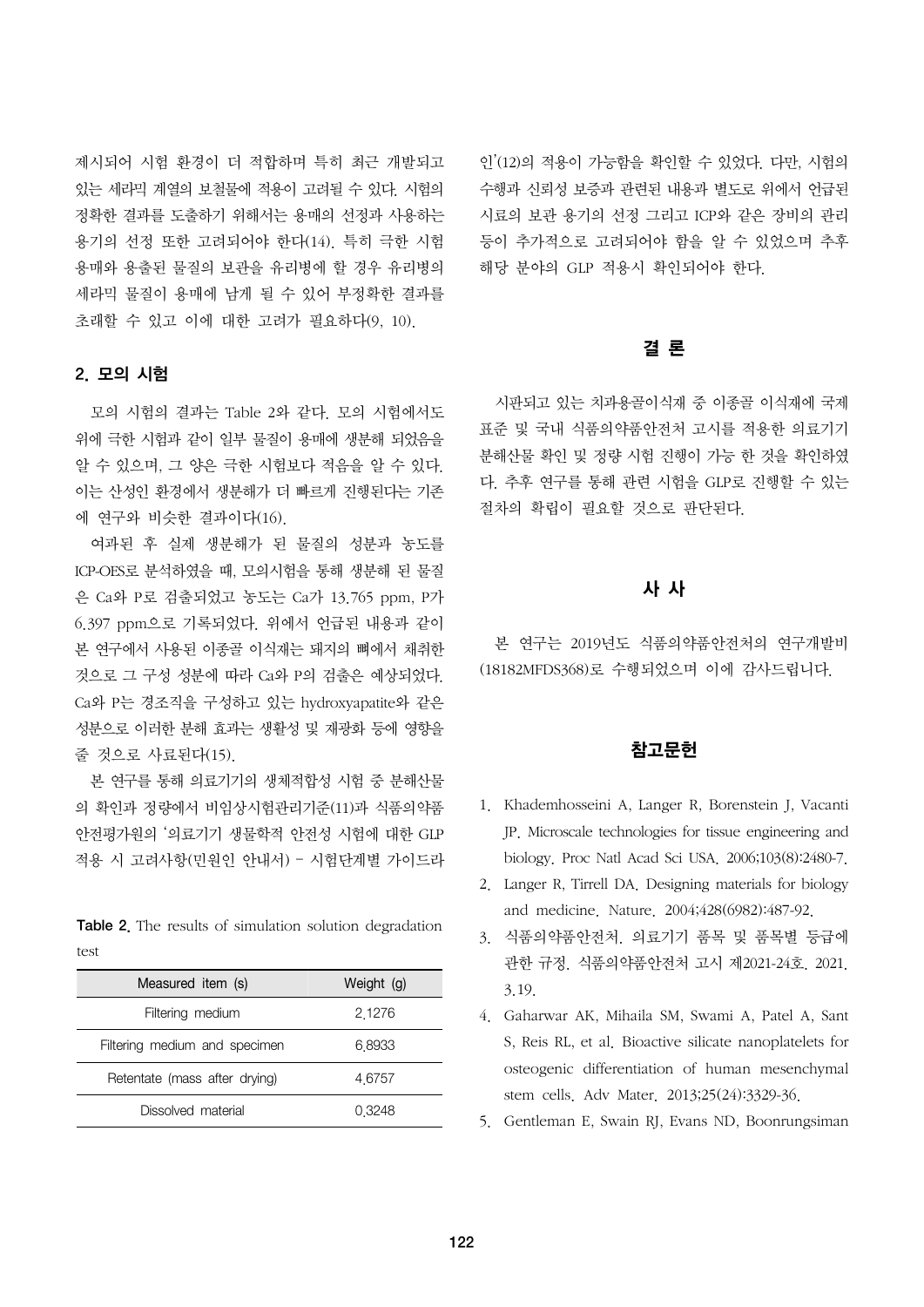제시되어 시험 환경이 더 적합하며 특히 최근 개발되고 있는 세라믹 계열의 보철물에 적용이 고려될 수 있다. 시험의 정확한 결과를 도출하기 위해서는 용매의 선정과 사용하는 용기의 선정 또한 고려되어야 한다(14). 특히 극한 시험 용매와 용출된 물질의 보관을 유리병에 할 경우 유리병의 세라믹 물질이 용매에 남게 될 수 있어 부정확한 결과를 초래할 수 있고 이에 대한 고려가 필요하다(9, 10).

## 2. 모의 시험

모의 시험의 결과는 Table 2와 같다. 모의 시험에서도 위에 극한 시험과 같이 일부 물질이 용매에 생분해 되었음을 알 수 있으며, 그 양은 극한 시험보다 적음을 알 수 있다. 이는 산성인 환경에서 생분해가 더 빠르게 진행된다는 기존 에 연구와 비슷한 결과이다(16).

여과된 후 실제 생분해가 된 물질의 성분과 농도를 ICP-OES로 분석하였을 때, 모의시험을 통해 생분해 된 물질 은 Ca와 P로 검출되었고 농도는 Ca가 13.765 ppm, P가 6.397 ppm으로 기록되었다. 위에서 언급된 내용과 같이 본 연구에서 사용된 이종골 이식재는 돼지의 뼈에서 채취한 것으로 그 구성 성분에 따라 Ca와 P의 검출은 예상되었다. Ca와 P는 경조직을 구성하고 있는 hydroxyapatite와 같은 성분으로 이러한 분해 효과는 생활성 및 재광화 등에 영향을 줄 것으로 사료된다(15).

본 연구를 통해 의료기기의 생체적합성 시험 중 분해산물 의 확인과 정량에서 비임상시험관리기준(11)과 식품의약품 안전평가원의 '의료기기 생물학적 안전성 시험에 대한 GLP 적용 시 고려사항(민원인 안내서) – 시험단계별 가이드라

Table 2. The results of simulation solution degradation test

| Measured item (s)             | Weight (g) |
|-------------------------------|------------|
| Filtering medium              | 2.1276     |
| Filtering medium and specimen | 6.8933     |
| Retentate (mass after drying) | 4.6757     |
| Dissolved material            | 0 3 2 4 8  |

인'(12)의 적용이 가능함을 확인할 수 있었다. 다만, 시험의 수행과 신뢰성 보증과 관련된 내용과 별도로 위에서 언급된 시료의 보관 용기의 선정 그리고 ICP와 같은 장비의 관리 등이 추가적으로 고려되어야 함을 알 수 있었으며 추후 해당 분야의 GLP 적용시 확인되어야 한다.

## 결 론

시판되고 있는 치과용골이식재 중 이종골 이식재에 국제 표준 및 국내 식품의약품안전처 고시를 적용한 의료기기 분해산물 확인 및 정량 시험 진행이 가능 한 것을 확인하였 다. 추후 연구를 통해 관련 시험을 GLP로 진행할 수 있는 절차의 확립이 필요할 것으로 판단된다.

## 사 사

본 연구는 2019년도 식품의약품안전처의 연구개발비 (18182MFDS368)로 수행되었으며 이에 감사드립니다.

#### 참고문헌

- 1. Khademhosseini A, Langer R, Borenstein J, Vacanti JP. Microscale technologies for tissue engineering and biology. Proc Natl Acad Sci USA. 2006;103(8):2480-7.
- 2. Langer R, Tirrell DA. Designing materials for biology and medicine. Nature. 2004;428(6982):487-92.
- 3. 식품의약품안전처. 의료기기 품목 및 품목별 등급에 관한 규정. 식품의약품안전처 고시 제2021-24호. 2021. 3.19.
- 4. Gaharwar AK, Mihaila SM, Swami A, Patel A, Sant S, Reis RL, et al. Bioactive silicate nanoplatelets for osteogenic differentiation of human mesenchymal stem cells. Adv Mater. 2013;25(24):3329-36.
- 5. Gentleman E, Swain RJ, Evans ND, Boonrungsiman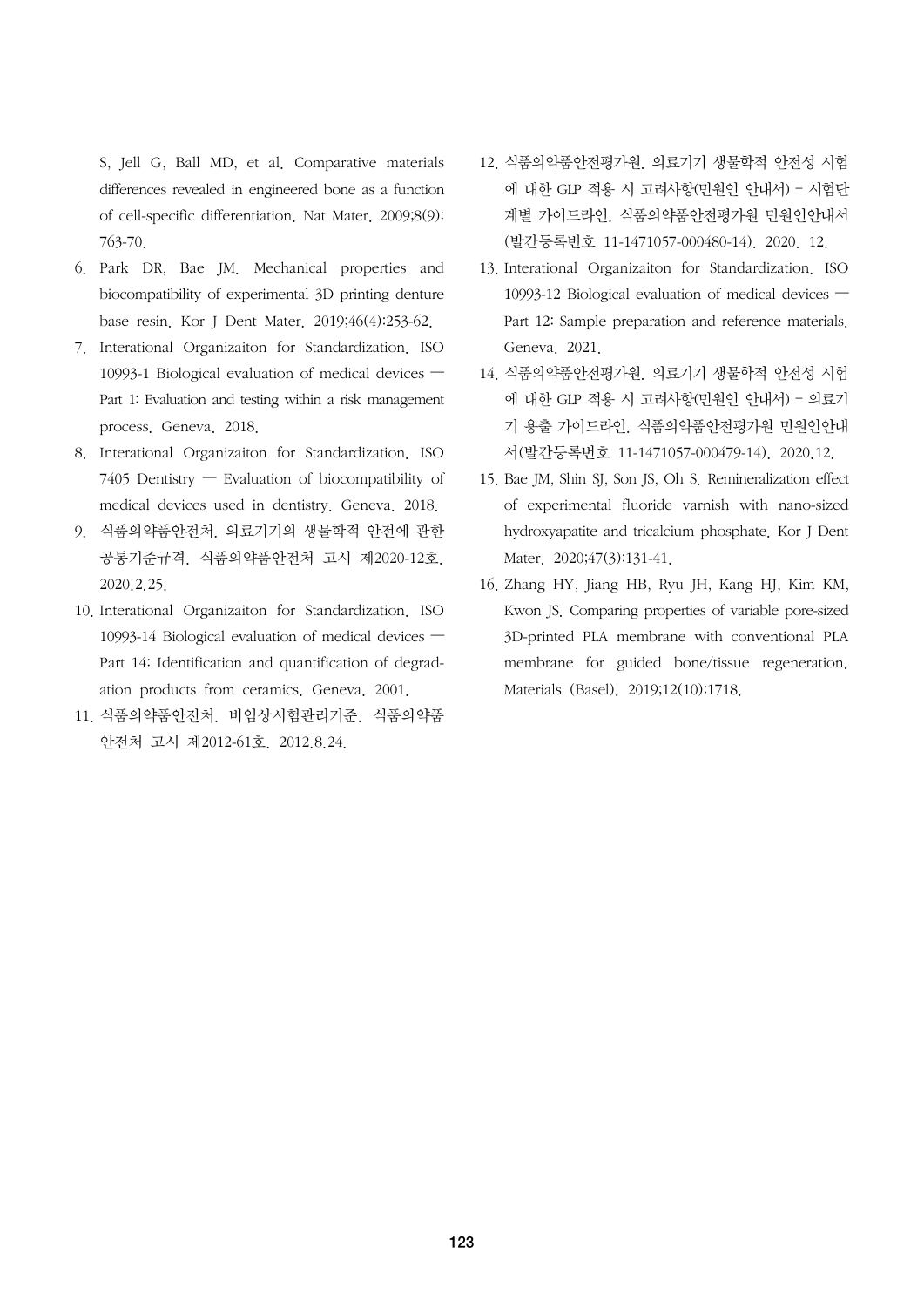S, Jell G, Ball MD, et al. Comparative materials differences revealed in engineered bone as a function of cell-specific differentiation. Nat Mater. 2009;8(9): 763-70.

- 6. Park DR, Bae JM. Mechanical properties and biocompatibility of experimental 3D printing denture base resin. Kor J Dent Mater. 2019;46(4):253-62.
- 7. Interational Organizaiton for Standardization. ISO 10993-1 Biological evaluation of medical devices — Part 1: Evaluation and testing within a risk management process. Geneva. 2018.
- 8. Interational Organizaiton for Standardization. ISO 7405 Dentistry — Evaluation of biocompatibility of medical devices used in dentistry. Geneva. 2018.
- 9. 식품의약품안전처. 의료기기의 생물학적 안전에 관한 공통기준규격. 식품의약품안전처 고시 제2020-12호. 2020.2.25.
- 10. Interational Organizaiton for Standardization. ISO 10993-14 Biological evaluation of medical devices — Part 14: Identification and quantification of degradation products from ceramics. Geneva. 2001.
- 11. 식품의약품안전처. 비임상시험관리기준. 식품의약품 안전처 고시 제2012-61호. 2012.8.24.
- 12. 식품의약품안전평가원. 의료기기 생물학적 안전성 시험 에 대한 GLP 적용 시 고려사항(민원인 안내서) – 시험단 계별 가이드라인. 식품의약품안전평가원 민원인안내서 (발간등록번호 11-1471057-000480-14). 2020. 12.
- 13. Interational Organizaiton for Standardization. ISO 10993-12 Biological evaluation of medical devices — Part 12: Sample preparation and reference materials. Geneva. 2021.
- 14. 식품의약품안전평가원. 의료기기 생물학적 안전성 시험 에 대한 GLP 적용 시 고려사항(민원인 안내서) – 의료기 기 용출 가이드라인. 식품의약품안전평가원 민원인안내 서(발간등록번호 11-1471057-000479-14). 2020.12.
- 15. Bae JM, Shin SJ, Son JS, Oh S. Remineralization effect of experimental fluoride varnish with nano-sized hydroxyapatite and tricalcium phosphate. Kor J Dent Mater. 2020;47(3):131-41.
- 16. Zhang HY, Jiang HB, Ryu JH, Kang HJ, Kim KM, Kwon JS. Comparing properties of variable pore-sized 3D-printed PLA membrane with conventional PLA membrane for guided bone/tissue regeneration. Materials (Basel). 2019;12(10):1718.